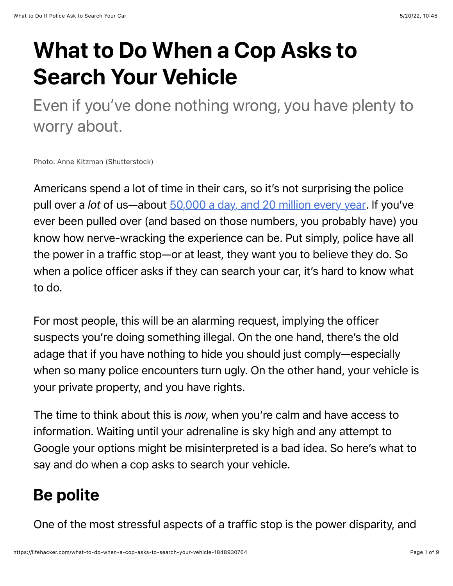## What to Do When a Cop Asks to Search Your Vehicle

Even if you've done nothing wrong, you have plenty to worry about.

Photo: Anne Kitzman (Shutterstock)

Americans spend a lot of time in their cars, so it's not surprising the police pull over a *lot* of us—about [50,000 a day, and 20 million every year.](https://openpolicing.stanford.edu/findings/) If you've ever been pulled over (and based on those numbers, you probably have) you know how nerve-wracking the experience can be. Put simply, police have all the power in a traffic stop—or at least, they want you to believe they do. So when a police officer asks if they can search your car, it's hard to know what to do.

For most people, this will be an alarming request, implying the officer suspects you're doing something illegal. On the one hand, there's the old adage that if you have nothing to hide you should just comply—especially when so many police encounters turn ugly. On the other hand, your vehicle is your private property, and you have rights.

The time to think about this is *now*, when you're calm and have access to information. Waiting until your adrenaline is sky high and any attempt to Google your options might be misinterpreted is a bad idea. So here's what to say and do when a cop asks to search your vehicle.

## Be polite

One of the most stressful aspects of a traffic stop is the power disparity, and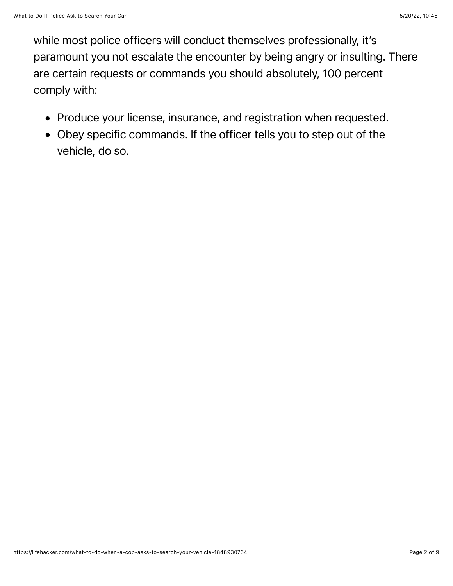while most police officers will conduct themselves professionally, it's paramount you not escalate the encounter by being angry or insulting. There are certain requests or commands you should absolutely, 100 percent comply with:

- Produce your license, insurance, and registration when requested.
- Obey specific commands. If the officer tells you to step out of the vehicle, do so.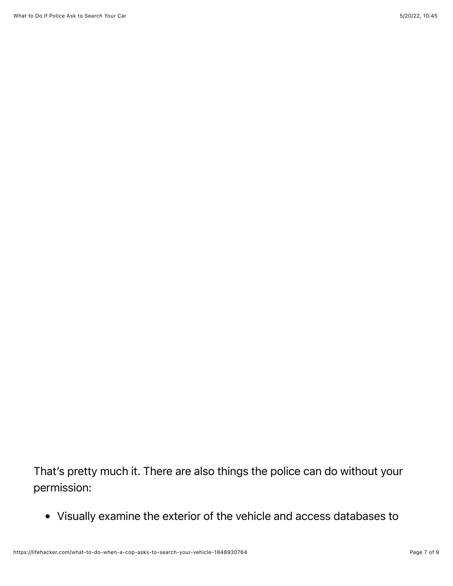That's pretty much it. There are also things the police can do without your permission:

Visually examine the exterior of the vehicle and access databases to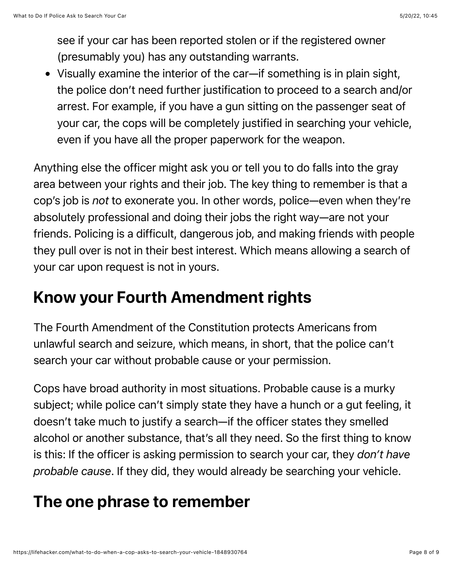see if your car has been reported stolen or if the registered owner (presumably you) has any outstanding warrants.

Visually examine the interior of the car—if something is in plain sight, the police don't need further justification to proceed to a search and/or arrest. For example, if you have a gun sitting on the passenger seat of your car, the cops will be completely justified in searching your vehicle, even if you have all the proper paperwork for the weapon.

Anything else the officer might ask you or tell you to do falls into the gray area between your rights and their job. The key thing to remember is that a cop's job is *not* to exonerate you. In other words, police—even when they're absolutely professional and doing their jobs the right way—are not your friends. Policing is a difficult, dangerous job, and making friends with people they pull over is not in their best interest. Which means allowing a search of your car upon request is not in yours.

## Know your Fourth Amendment rights

The Fourth Amendment of the Constitution protects Americans from unlawful search and seizure, which means, in short, that the police can't search your car without probable cause or your permission.

Cops have broad authority in most situations. Probable cause is a murky subject; while police can't simply state they have a hunch or a gut feeling, it doesn't take much to justify a search—if the officer states they smelled alcohol or another substance, that's all they need. So the first thing to know is this: If the officer is asking permission to search your car, they *don't have probable cause*. If they did, they would already be searching your vehicle.

## The one phrase to remember